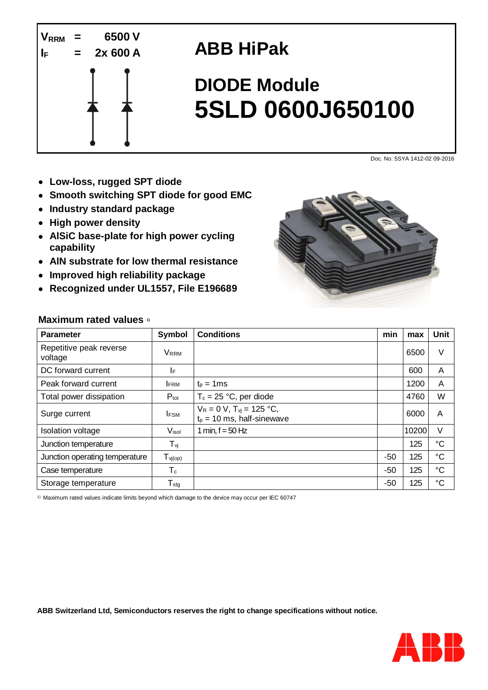

## **ABB HiPak**

# **DIODE Module 5SLD 0600J650100**

Doc. No. 5SYA 1412-02 09-2016

- **Low-loss, rugged SPT diode**
- **Smooth switching SPT diode for good EMC**
- **Industry standard package**
- **High power density**
- **AlSiC base-plate for high power cycling capability**
- **AlN substrate for low thermal resistance**
- **Improved high reliability package**
- **Recognized under UL1557, File E196689**



#### **Maximum rated values 1)**

| <b>Parameter</b>                   | Symbol              | <b>Conditions</b>                                                 | min   | max   | Unit            |
|------------------------------------|---------------------|-------------------------------------------------------------------|-------|-------|-----------------|
| Repetitive peak reverse<br>voltage | <b>VRRM</b>         |                                                                   |       | 6500  | $\vee$          |
| DC forward current                 | ΙF                  |                                                                   |       | 600   | A               |
| Peak forward current               | <b>IFRM</b>         | $t_p = 1$ ms                                                      |       | 1200  | A               |
| Total power dissipation            | $P_{\text{tot}}$    | $T_c = 25 °C$ , per diode                                         |       | 4760  | W               |
| Surge current                      | <b>IFSM</b>         | $V_R = 0 V$ , $T_{vi} = 125 °C$ ,<br>$t_p = 10$ ms, half-sinewave |       | 6000  | A               |
| <b>Isolation voltage</b>           | V <sub>isol</sub>   | 1 min, $f = 50$ Hz                                                |       | 10200 | $\vee$          |
| Junction temperature               | $T_{\nu j}$         |                                                                   |       | 125   | $\rm ^{\circ}C$ |
| Junction operating temperature     | $T_{\text{Vj(op)}}$ |                                                                   | $-50$ | 125   | $\rm ^{\circ}C$ |
| Case temperature                   | $T_c$               |                                                                   | $-50$ | 125   | $^{\circ}C$     |
| Storage temperature                | $T_{\rm stg}$       |                                                                   | $-50$ | 125   | $^{\circ}C$     |

1) Maximum rated values indicate limits beyond which damage to the device may occur per IEC 60747

**ABB Switzerland Ltd, Semiconductors reserves the right to change specifications without notice.**

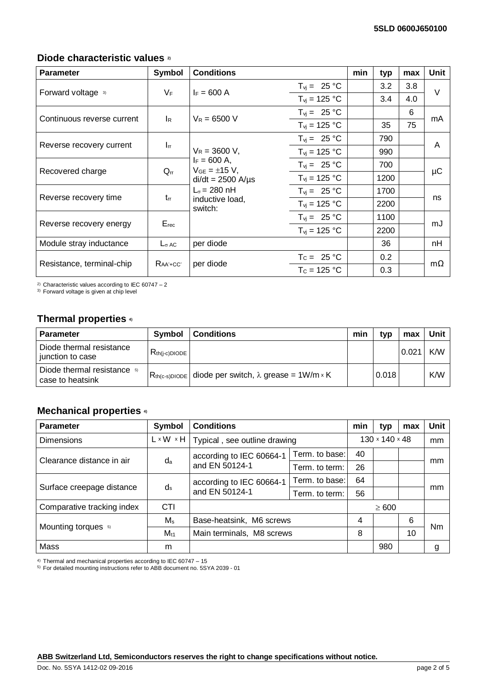#### **Diode characteristic values 2)**

| <b>Parameter</b>           | Symbol                   | <b>Conditions</b>                                                                                                                               |                                 | min | typ  | max | Unit      |  |
|----------------------------|--------------------------|-------------------------------------------------------------------------------------------------------------------------------------------------|---------------------------------|-----|------|-----|-----------|--|
| Forward voltage 3)         | VF                       | $I_F = 600 A$                                                                                                                                   | $T_{vi} = 25 °C$                |     | 3.2  | 3.8 | $\vee$    |  |
|                            |                          |                                                                                                                                                 | $T_{vi}$ = 125 °C               |     | 3.4  | 4.0 |           |  |
|                            |                          | $V_R = 6500 V$                                                                                                                                  | $T_{vi} = 25 °C$                |     |      | 6   | mA        |  |
| Continuous reverse current | $I_R$                    |                                                                                                                                                 | $T_{\text{vi}}$ = 125 °C        |     | 35   | 75  |           |  |
|                            |                          |                                                                                                                                                 | $T_{vi} = 25 °C$                |     | 790  |     | A         |  |
| Reverse recovery current   | $\mathsf{l}_{\text{rr}}$ | $V_R = 3600 V$ .<br>$I_F = 600 A$ ,<br>$V_{GE} = \pm 15 V,$<br>$di/dt = 2500$ A/ $\mu$ s<br>$L_{\sigma}$ = 280 nH<br>inductive load,<br>switch: | $T_{vi}$ = 125 °C               |     | 990  |     |           |  |
|                            | $Q_{rr}$                 |                                                                                                                                                 | $T_{\text{vi}} = 25 \text{ °C}$ |     | 700  |     | μC        |  |
| Recovered charge           |                          |                                                                                                                                                 | $T_{\text{vj}}$ = 125 °C        |     | 1200 |     |           |  |
| Reverse recovery time      | $t_{rr}$                 |                                                                                                                                                 | $T_{vi} = 25 °C$                |     | 1700 |     | ns        |  |
|                            |                          |                                                                                                                                                 | $T_{\text{vj}}$ = 125 °C        |     | 2200 |     |           |  |
| Reverse recovery energy    | $E_{rec}$                |                                                                                                                                                 | $T_{\text{vi}} = 25 \text{ °C}$ |     | 1100 |     | mJ        |  |
|                            |                          |                                                                                                                                                 | $T_{vi}$ = 125 °C               |     | 2200 |     |           |  |
| Module stray inductance    | $L_{\sigma}$ AC          | per diode                                                                                                                                       |                                 |     | 36   |     | nH        |  |
| Resistance, terminal-chip  | $RAA+CC$                 | per diode                                                                                                                                       | $T_c = 25 °C$                   |     | 0.2  |     | $m\Omega$ |  |
|                            |                          |                                                                                                                                                 | $T_c = 125 °C$                  |     | 0.3  |     |           |  |

<sup>2)</sup> Characteristic values according to IEC 60747 - 2

<sup>3)</sup> Forward voltage is given at chip level

### **Thermal properties 4)**

| <b>Parameter</b>                                | Symbol             | <b>Conditions</b>                                                | min | tvp   | max   | Unit |
|-------------------------------------------------|--------------------|------------------------------------------------------------------|-----|-------|-------|------|
| Diode thermal resistance<br>junction to case    | $R_{th(i-c)DIODE}$ |                                                                  |     |       | 0.021 | K/W  |
| Diode thermal resistance 5)<br>case to heatsink |                    | $R_{th(c-s)DIODE}$ diode per switch, $\lambda$ grease = 1W/m × K |     | 0.018 |       | K/W  |

#### **Mechanical properties 4)**

| <b>Parameter</b>           | <b>Symbol</b>         | <b>Conditions</b>                          |                | min                        | typ        | max | <b>Unit</b> |
|----------------------------|-----------------------|--------------------------------------------|----------------|----------------------------|------------|-----|-------------|
| <b>Dimensions</b>          | $L \times W \times H$ | Typical, see outline drawing               |                | $130 \times 140 \times 48$ |            | mm  |             |
| Clearance distance in air  | da                    | according to IEC 60664-1                   | Term, to base: | 40                         |            |     | mm          |
|                            |                       | and EN 50124-1                             | Term, to term: | 26                         |            |     |             |
| Surface creepage distance  | $d_s$                 | according to IEC 60664-1<br>and EN 50124-1 | Term. to base: | 64                         |            |     | mm          |
|                            |                       |                                            | Term, to term: | 56                         |            |     |             |
| Comparative tracking index | <b>CTI</b>            |                                            |                |                            | $\geq 600$ |     |             |
|                            | $M_{\rm s}$           | Base-heatsink, M6 screws                   |                | 4                          |            | 6   | Nm          |
| Mounting torques 5)        | $M_{t1}$              | Main terminals, M8 screws                  |                | 8                          |            | 10  |             |
| Mass                       | m                     |                                            |                |                            | 980        |     | g           |

4) Thermal and mechanical properties according to IEC 60747 – 15

5) For detailed mounting instructions refer to ABB document no. 5SYA 2039 - 01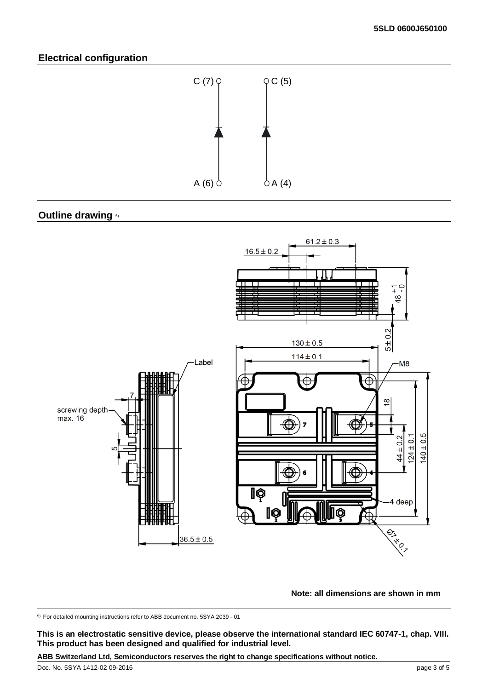#### **Electrical configuration**



#### **Outline drawing 5)**



5) For detailed mounting instructions refer to ABB document no. 5SYA 2039 - 01

**This is an electrostatic sensitive device, please observe the international standard IEC 60747-1, chap. VIII. This product has been designed and qualified for industrial level.**

**ABB Switzerland Ltd, Semiconductors reserves the right to change specifications without notice.**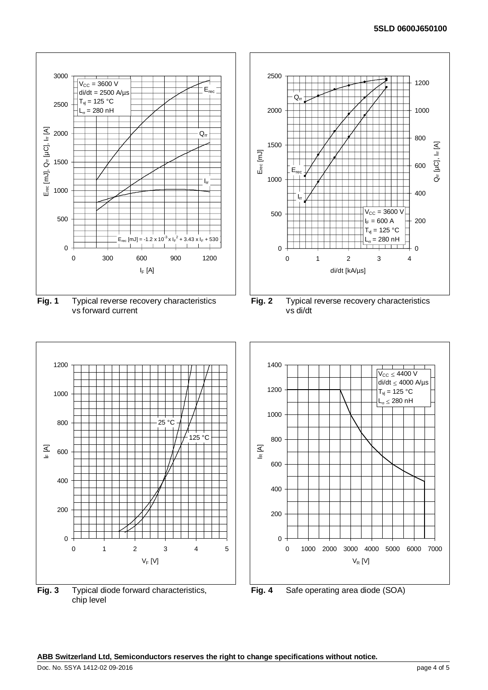

**ABB Switzerland Ltd, Semiconductors reserves the right to change specifications without notice.**